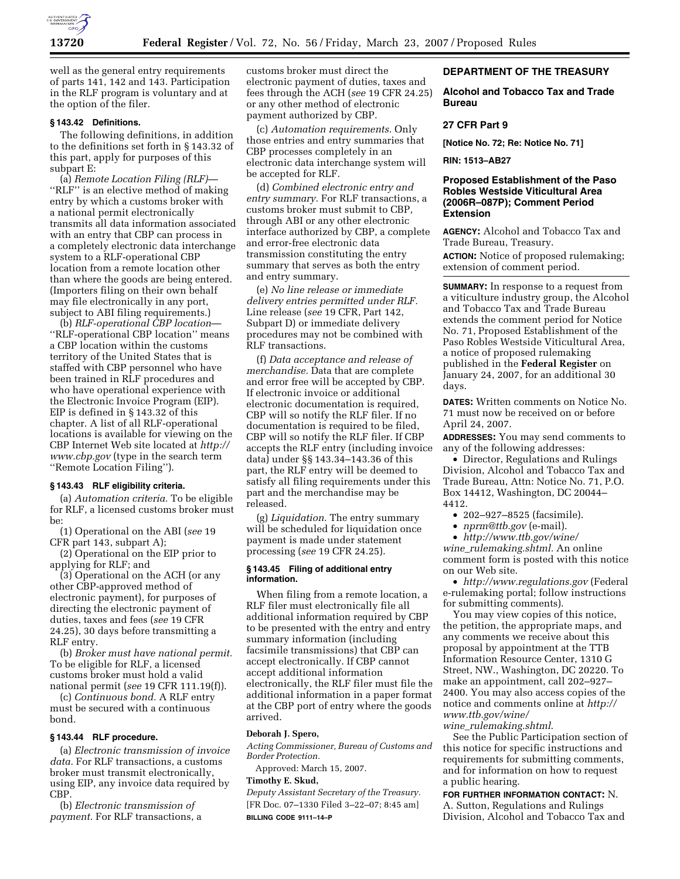

well as the general entry requirements of parts 141, 142 and 143. Participation in the RLF program is voluntary and at the option of the filer.

## **§ 143.42 Definitions.**

The following definitions, in addition to the definitions set forth in § 143.32 of this part, apply for purposes of this subpart E:

(a) *Remote Location Filing (RLF)*— ''RLF'' is an elective method of making entry by which a customs broker with a national permit electronically transmits all data information associated with an entry that CBP can process in a completely electronic data interchange system to a RLF-operational CBP location from a remote location other than where the goods are being entered. (Importers filing on their own behalf may file electronically in any port, subject to ABI filing requirements.)

(b) *RLF-operational CBP location*— ''RLF-operational CBP location'' means a CBP location within the customs territory of the United States that is staffed with CBP personnel who have been trained in RLF procedures and who have operational experience with the Electronic Invoice Program (EIP). EIP is defined in § 143.32 of this chapter. A list of all RLF-operational locations is available for viewing on the CBP Internet Web site located at *http:// www.cbp.gov* (type in the search term ''Remote Location Filing'').

#### **§ 143.43 RLF eligibility criteria.**

(a) *Automation criteria.* To be eligible for RLF, a licensed customs broker must be:

(1) Operational on the ABI (*see* 19 CFR part 143, subpart A);

(2) Operational on the EIP prior to applying for RLF; and

(3) Operational on the ACH (or any other CBP-approved method of electronic payment), for purposes of directing the electronic payment of duties, taxes and fees (*see* 19 CFR 24.25), 30 days before transmitting a RLF entry.

(b) *Broker must have national permit.*  To be eligible for RLF, a licensed customs broker must hold a valid national permit (*see* 19 CFR 111.19(f)).

(c) *Continuous bond.* A RLF entry must be secured with a continuous bond.

#### **§ 143.44 RLF procedure.**

(a) *Electronic transmission of invoice data.* For RLF transactions, a customs broker must transmit electronically, using EIP, any invoice data required by CBP.

(b) *Electronic transmission of payment.* For RLF transactions, a customs broker must direct the electronic payment of duties, taxes and fees through the ACH (*see* 19 CFR 24.25) or any other method of electronic payment authorized by CBP.

(c) *Automation requirements.* Only those entries and entry summaries that CBP processes completely in an electronic data interchange system will be accepted for RLF.

(d) *Combined electronic entry and entry summary.* For RLF transactions, a customs broker must submit to CBP, through ABI or any other electronic interface authorized by CBP, a complete and error-free electronic data transmission constituting the entry summary that serves as both the entry and entry summary.

(e) *No line release or immediate delivery entries permitted under RLF.*  Line release (*see* 19 CFR, Part 142, Subpart D) or immediate delivery procedures may not be combined with RLF transactions.

(f) *Data acceptance and release of merchandise.* Data that are complete and error free will be accepted by CBP. If electronic invoice or additional electronic documentation is required, CBP will so notify the RLF filer. If no documentation is required to be filed, CBP will so notify the RLF filer. If CBP accepts the RLF entry (including invoice data) under §§ 143.34–143.36 of this part, the RLF entry will be deemed to satisfy all filing requirements under this part and the merchandise may be released.

(g) *Liquidation.* The entry summary will be scheduled for liquidation once payment is made under statement processing (*see* 19 CFR 24.25).

#### **§ 143.45 Filing of additional entry information.**

When filing from a remote location, a RLF filer must electronically file all additional information required by CBP to be presented with the entry and entry summary information (including facsimile transmissions) that CBP can accept electronically. If CBP cannot accept additional information electronically, the RLF filer must file the additional information in a paper format at the CBP port of entry where the goods arrived.

#### **Deborah J. Spero,**

*Acting Commissioner, Bureau of Customs and Border Protection.* 

Approved: March 15, 2007.

# **Timothy E. Skud,**

*Deputy Assistant Secretary of the Treasury.*  [FR Doc. 07–1330 Filed 3–22–07; 8:45 am] **BILLING CODE 9111–14–P** 

## **DEPARTMENT OF THE TREASURY**

**Alcohol and Tobacco Tax and Trade Bureau** 

#### **27 CFR Part 9**

**[Notice No. 72; Re: Notice No. 71]** 

#### **RIN: 1513–AB27**

# **Proposed Establishment of the Paso Robles Westside Viticultural Area (2006R–087P); Comment Period Extension**

**AGENCY:** Alcohol and Tobacco Tax and Trade Bureau, Treasury.

**ACTION:** Notice of proposed rulemaking; extension of comment period.

**SUMMARY:** In response to a request from a viticulture industry group, the Alcohol and Tobacco Tax and Trade Bureau extends the comment period for Notice No. 71, Proposed Establishment of the Paso Robles Westside Viticultural Area, a notice of proposed rulemaking published in the **Federal Register** on January 24, 2007, for an additional 30 days.

**DATES:** Written comments on Notice No. 71 must now be received on or before April 24, 2007.

**ADDRESSES:** You may send comments to any of the following addresses:

• Director, Regulations and Rulings Division, Alcohol and Tobacco Tax and Trade Bureau, Attn: Notice No. 71, P.O. Box 14412, Washington, DC 20044– 4412.

- 202–927–8525 (facsimile).
- *nprm@ttb.gov* (e-mail).
- *http://www.ttb.gov/wine/*

*wine*\_*rulemaking.shtml.* An online comment form is posted with this notice on our Web site.

• *http://www.regulations.gov* (Federal e-rulemaking portal; follow instructions for submitting comments).

You may view copies of this notice, the petition, the appropriate maps, and any comments we receive about this proposal by appointment at the TTB Information Resource Center, 1310 G Street, NW., Washington, DC 20220. To make an appointment, call 202–927– 2400. You may also access copies of the notice and comments online at *http:// www.ttb.gov/wine/ wine*\_*rulemaking.shtml*.

See the Public Participation section of this notice for specific instructions and requirements for submitting comments, and for information on how to request a public hearing.

**FOR FURTHER INFORMATION CONTACT:** N. A. Sutton, Regulations and Rulings Division, Alcohol and Tobacco Tax and